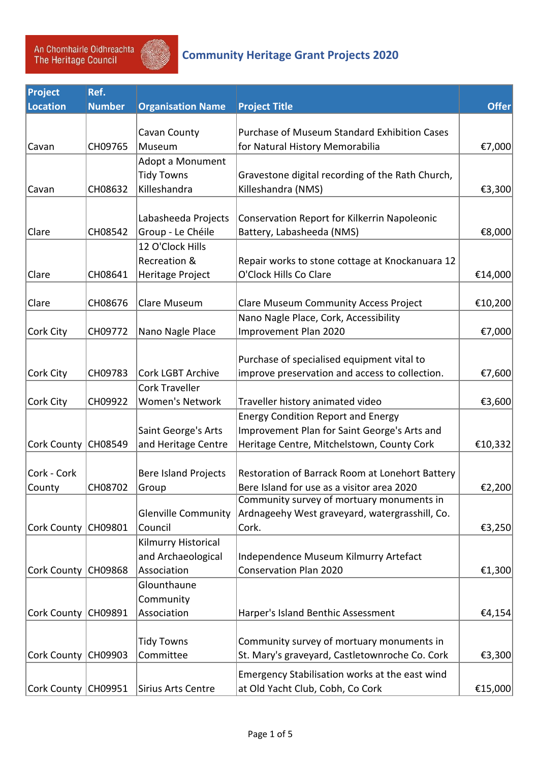

## *Community Heritage Grant Projects 2020*

| Project               | Ref.          |                             |                                                     |              |
|-----------------------|---------------|-----------------------------|-----------------------------------------------------|--------------|
| Location              | <b>Number</b> | <b>Organisation Name</b>    | <b>Project Title</b>                                | <b>Offer</b> |
|                       |               |                             |                                                     |              |
|                       |               | Cavan County                | <b>Purchase of Museum Standard Exhibition Cases</b> |              |
| Cavan                 | CH09765       | Museum                      | for Natural History Memorabilia                     | €7,000       |
|                       |               | Adopt a Monument            |                                                     |              |
|                       |               | <b>Tidy Towns</b>           | Gravestone digital recording of the Rath Church,    |              |
| Cavan                 | CH08632       | Killeshandra                | Killeshandra (NMS)                                  | €3,300       |
|                       |               |                             |                                                     |              |
|                       |               | Labasheeda Projects         | Conservation Report for Kilkerrin Napoleonic        |              |
| Clare                 | CH08542       | Group - Le Chéile           | Battery, Labasheeda (NMS)                           | €8,000       |
|                       |               | 12 O'Clock Hills            |                                                     |              |
|                       |               | Recreation &                | Repair works to stone cottage at Knockanuara 12     |              |
| Clare                 | CH08641       | Heritage Project            | O'Clock Hills Co Clare                              | €14,000      |
|                       |               |                             |                                                     |              |
| Clare                 | CH08676       | Clare Museum                | <b>Clare Museum Community Access Project</b>        | €10,200      |
|                       |               |                             | Nano Nagle Place, Cork, Accessibility               |              |
| Cork City             | CH09772       | Nano Nagle Place            | Improvement Plan 2020                               | €7,000       |
|                       |               |                             |                                                     |              |
|                       |               |                             | Purchase of specialised equipment vital to          |              |
| Cork City             | CH09783       | <b>Cork LGBT Archive</b>    | improve preservation and access to collection.      | €7,600       |
|                       |               | <b>Cork Traveller</b>       |                                                     |              |
| Cork City             | CH09922       | <b>Women's Network</b>      | Traveller history animated video                    | €3,600       |
|                       |               |                             | <b>Energy Condition Report and Energy</b>           |              |
|                       |               | Saint George's Arts         | Improvement Plan for Saint George's Arts and        |              |
| Cork County           | CH08549       | and Heritage Centre         | Heritage Centre, Mitchelstown, County Cork          | €10,332      |
|                       |               |                             |                                                     |              |
| Cork - Cork           |               | <b>Bere Island Projects</b> | Restoration of Barrack Room at Lonehort Battery     |              |
| County                | CH08702       | Group                       | Bere Island for use as a visitor area 2020          | €2,200       |
|                       |               |                             | Community survey of mortuary monuments in           |              |
|                       |               | <b>Glenville Community</b>  | Ardnageehy West graveyard, watergrasshill, Co.      |              |
| Cork County CH09801   |               | Council                     | Cork.                                               | €3,250       |
|                       |               | Kilmurry Historical         |                                                     |              |
|                       |               | and Archaeological          | Independence Museum Kilmurry Artefact               |              |
| Cork County   CH09868 |               | Association                 | <b>Conservation Plan 2020</b>                       | €1,300       |
|                       |               | Glounthaune                 |                                                     |              |
|                       |               | Community                   |                                                     |              |
| Cork County   CH09891 |               | Association                 | Harper's Island Benthic Assessment                  | €4,154       |
|                       |               |                             |                                                     |              |
|                       |               | <b>Tidy Towns</b>           | Community survey of mortuary monuments in           |              |
| Cork County   CH09903 |               | Committee                   | St. Mary's graveyard, Castletownroche Co. Cork      | €3,300       |
|                       |               |                             | Emergency Stabilisation works at the east wind      |              |
| Cork County   CH09951 |               | Sirius Arts Centre          | at Old Yacht Club, Cobh, Co Cork                    | €15,000      |
|                       |               |                             |                                                     |              |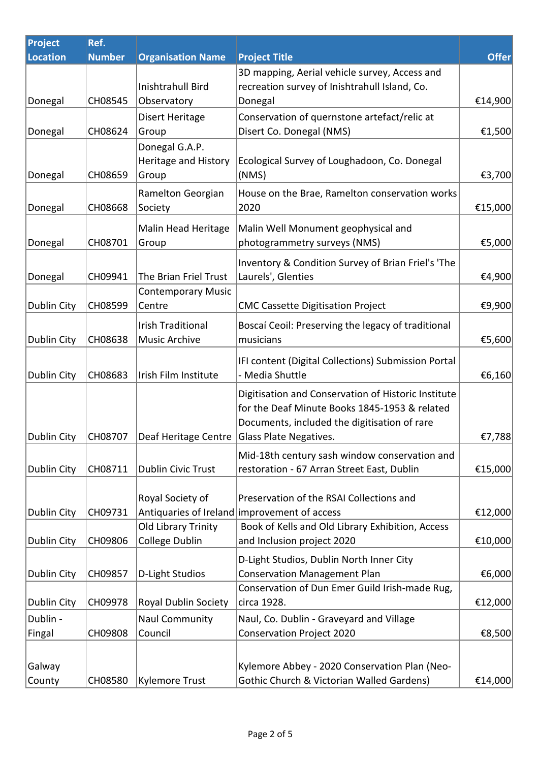| Ref.          |                                                     |                                                                                                                                     |                                                                                                                                                                                                                                                                                                                                                                                                                                                                                                                                                                                                                                                                                                                                                                          |
|---------------|-----------------------------------------------------|-------------------------------------------------------------------------------------------------------------------------------------|--------------------------------------------------------------------------------------------------------------------------------------------------------------------------------------------------------------------------------------------------------------------------------------------------------------------------------------------------------------------------------------------------------------------------------------------------------------------------------------------------------------------------------------------------------------------------------------------------------------------------------------------------------------------------------------------------------------------------------------------------------------------------|
| <b>Number</b> | <b>Organisation Name</b>                            | <b>Project Title</b>                                                                                                                | <b>Offer</b>                                                                                                                                                                                                                                                                                                                                                                                                                                                                                                                                                                                                                                                                                                                                                             |
|               |                                                     | 3D mapping, Aerial vehicle survey, Access and                                                                                       |                                                                                                                                                                                                                                                                                                                                                                                                                                                                                                                                                                                                                                                                                                                                                                          |
|               | Inishtrahull Bird                                   | recreation survey of Inishtrahull Island, Co.                                                                                       |                                                                                                                                                                                                                                                                                                                                                                                                                                                                                                                                                                                                                                                                                                                                                                          |
| CH08545       | Observatory                                         | Donegal                                                                                                                             | €14,900                                                                                                                                                                                                                                                                                                                                                                                                                                                                                                                                                                                                                                                                                                                                                                  |
|               | Disert Heritage                                     | Conservation of quernstone artefact/relic at                                                                                        |                                                                                                                                                                                                                                                                                                                                                                                                                                                                                                                                                                                                                                                                                                                                                                          |
| CH08624       | Group                                               | Disert Co. Donegal (NMS)                                                                                                            | €1,500                                                                                                                                                                                                                                                                                                                                                                                                                                                                                                                                                                                                                                                                                                                                                                   |
|               | Donegal G.A.P.                                      |                                                                                                                                     |                                                                                                                                                                                                                                                                                                                                                                                                                                                                                                                                                                                                                                                                                                                                                                          |
|               | Heritage and History                                | Ecological Survey of Loughadoon, Co. Donegal                                                                                        |                                                                                                                                                                                                                                                                                                                                                                                                                                                                                                                                                                                                                                                                                                                                                                          |
| CH08659       | Group                                               | (NMS)                                                                                                                               | €3,700                                                                                                                                                                                                                                                                                                                                                                                                                                                                                                                                                                                                                                                                                                                                                                   |
|               | Ramelton Georgian                                   | House on the Brae, Ramelton conservation works                                                                                      |                                                                                                                                                                                                                                                                                                                                                                                                                                                                                                                                                                                                                                                                                                                                                                          |
| CH08668       | Society                                             | 2020                                                                                                                                | €15,000                                                                                                                                                                                                                                                                                                                                                                                                                                                                                                                                                                                                                                                                                                                                                                  |
|               |                                                     |                                                                                                                                     |                                                                                                                                                                                                                                                                                                                                                                                                                                                                                                                                                                                                                                                                                                                                                                          |
|               |                                                     |                                                                                                                                     | €5,000                                                                                                                                                                                                                                                                                                                                                                                                                                                                                                                                                                                                                                                                                                                                                                   |
|               |                                                     |                                                                                                                                     |                                                                                                                                                                                                                                                                                                                                                                                                                                                                                                                                                                                                                                                                                                                                                                          |
|               |                                                     |                                                                                                                                     |                                                                                                                                                                                                                                                                                                                                                                                                                                                                                                                                                                                                                                                                                                                                                                          |
|               |                                                     |                                                                                                                                     | €4,900                                                                                                                                                                                                                                                                                                                                                                                                                                                                                                                                                                                                                                                                                                                                                                   |
|               |                                                     |                                                                                                                                     | €9,900                                                                                                                                                                                                                                                                                                                                                                                                                                                                                                                                                                                                                                                                                                                                                                   |
|               |                                                     |                                                                                                                                     |                                                                                                                                                                                                                                                                                                                                                                                                                                                                                                                                                                                                                                                                                                                                                                          |
|               | <b>Irish Traditional</b>                            |                                                                                                                                     |                                                                                                                                                                                                                                                                                                                                                                                                                                                                                                                                                                                                                                                                                                                                                                          |
|               |                                                     |                                                                                                                                     | €5,600                                                                                                                                                                                                                                                                                                                                                                                                                                                                                                                                                                                                                                                                                                                                                                   |
|               |                                                     |                                                                                                                                     |                                                                                                                                                                                                                                                                                                                                                                                                                                                                                                                                                                                                                                                                                                                                                                          |
| CH08683       | Irish Film Institute                                | - Media Shuttle                                                                                                                     | €6,160                                                                                                                                                                                                                                                                                                                                                                                                                                                                                                                                                                                                                                                                                                                                                                   |
|               |                                                     |                                                                                                                                     |                                                                                                                                                                                                                                                                                                                                                                                                                                                                                                                                                                                                                                                                                                                                                                          |
|               |                                                     |                                                                                                                                     |                                                                                                                                                                                                                                                                                                                                                                                                                                                                                                                                                                                                                                                                                                                                                                          |
|               |                                                     |                                                                                                                                     |                                                                                                                                                                                                                                                                                                                                                                                                                                                                                                                                                                                                                                                                                                                                                                          |
| CH08707       |                                                     |                                                                                                                                     | €7,788                                                                                                                                                                                                                                                                                                                                                                                                                                                                                                                                                                                                                                                                                                                                                                   |
|               |                                                     |                                                                                                                                     |                                                                                                                                                                                                                                                                                                                                                                                                                                                                                                                                                                                                                                                                                                                                                                          |
|               |                                                     |                                                                                                                                     | €15,000                                                                                                                                                                                                                                                                                                                                                                                                                                                                                                                                                                                                                                                                                                                                                                  |
|               |                                                     |                                                                                                                                     |                                                                                                                                                                                                                                                                                                                                                                                                                                                                                                                                                                                                                                                                                                                                                                          |
|               | Royal Society of                                    | Preservation of the RSAI Collections and                                                                                            |                                                                                                                                                                                                                                                                                                                                                                                                                                                                                                                                                                                                                                                                                                                                                                          |
| CH09731       |                                                     |                                                                                                                                     | €12,000                                                                                                                                                                                                                                                                                                                                                                                                                                                                                                                                                                                                                                                                                                                                                                  |
|               | Old Library Trinity                                 | Book of Kells and Old Library Exhibition, Access                                                                                    |                                                                                                                                                                                                                                                                                                                                                                                                                                                                                                                                                                                                                                                                                                                                                                          |
| CH09806       | College Dublin                                      | and Inclusion project 2020                                                                                                          | €10,000                                                                                                                                                                                                                                                                                                                                                                                                                                                                                                                                                                                                                                                                                                                                                                  |
|               |                                                     |                                                                                                                                     |                                                                                                                                                                                                                                                                                                                                                                                                                                                                                                                                                                                                                                                                                                                                                                          |
| CH09857       | D-Light Studios                                     | <b>Conservation Management Plan</b>                                                                                                 | €6,000                                                                                                                                                                                                                                                                                                                                                                                                                                                                                                                                                                                                                                                                                                                                                                   |
|               |                                                     | Conservation of Dun Emer Guild Irish-made Rug,                                                                                      |                                                                                                                                                                                                                                                                                                                                                                                                                                                                                                                                                                                                                                                                                                                                                                          |
| CH09978       | Royal Dublin Society                                | circa 1928.                                                                                                                         | €12,000                                                                                                                                                                                                                                                                                                                                                                                                                                                                                                                                                                                                                                                                                                                                                                  |
|               | <b>Naul Community</b>                               | Naul, Co. Dublin - Graveyard and Village                                                                                            |                                                                                                                                                                                                                                                                                                                                                                                                                                                                                                                                                                                                                                                                                                                                                                          |
| CH09808       | Council                                             | Conservation Project 2020                                                                                                           | €8,500                                                                                                                                                                                                                                                                                                                                                                                                                                                                                                                                                                                                                                                                                                                                                                   |
|               |                                                     |                                                                                                                                     |                                                                                                                                                                                                                                                                                                                                                                                                                                                                                                                                                                                                                                                                                                                                                                          |
|               |                                                     |                                                                                                                                     |                                                                                                                                                                                                                                                                                                                                                                                                                                                                                                                                                                                                                                                                                                                                                                          |
| CH08580       | <b>Kylemore Trust</b>                               | Gothic Church & Victorian Walled Gardens)                                                                                           | €14,000                                                                                                                                                                                                                                                                                                                                                                                                                                                                                                                                                                                                                                                                                                                                                                  |
|               | CH08701<br>CH09941<br>CH08599<br>CH08638<br>CH08711 | Malin Head Heritage<br>Group<br>The Brian Friel Trust<br><b>Contemporary Music</b><br>Centre<br>Music Archive<br>Dublin Civic Trust | Malin Well Monument geophysical and<br>photogrammetry surveys (NMS)<br>Inventory & Condition Survey of Brian Friel's 'The<br>Laurels', Glenties<br><b>CMC Cassette Digitisation Project</b><br>Boscaí Ceoil: Preserving the legacy of traditional<br>musicians<br>IFI content (Digital Collections) Submission Portal<br>Digitisation and Conservation of Historic Institute<br>for the Deaf Minute Books 1845-1953 & related<br>Documents, included the digitisation of rare<br>Deaf Heritage Centre Glass Plate Negatives.<br>Mid-18th century sash window conservation and<br>restoration - 67 Arran Street East, Dublin<br>Antiquaries of Ireland improvement of access<br>D-Light Studios, Dublin North Inner City<br>Kylemore Abbey - 2020 Conservation Plan (Neo- |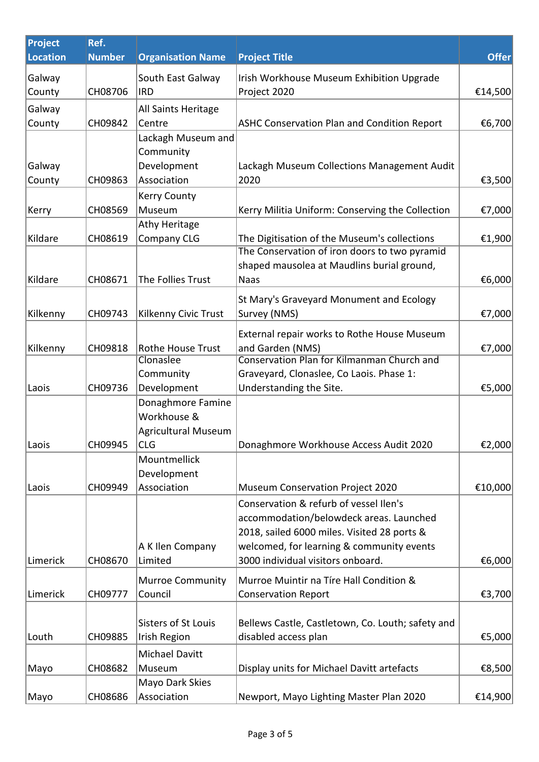| Project  | Ref.          |                            |                                                                                          |              |
|----------|---------------|----------------------------|------------------------------------------------------------------------------------------|--------------|
| Location | <b>Number</b> | <b>Organisation Name</b>   | <b>Project Title</b>                                                                     | <b>Offer</b> |
| Galway   |               | South East Galway          | Irish Workhouse Museum Exhibition Upgrade                                                |              |
| County   | CH08706       | <b>IRD</b>                 | Project 2020                                                                             | €14,500      |
| Galway   |               | All Saints Heritage        |                                                                                          |              |
| County   | CH09842       | Centre                     | ASHC Conservation Plan and Condition Report                                              | €6,700       |
|          |               | Lackagh Museum and         |                                                                                          |              |
|          |               | Community                  |                                                                                          |              |
| Galway   |               | Development                | Lackagh Museum Collections Management Audit                                              |              |
| County   | CH09863       | Association                | 2020                                                                                     | €3,500       |
|          |               | <b>Kerry County</b>        |                                                                                          |              |
| Kerry    | CH08569       | Museum                     | Kerry Militia Uniform: Conserving the Collection                                         | €7,000       |
|          |               | Athy Heritage              |                                                                                          |              |
| Kildare  | CH08619       | <b>Company CLG</b>         | The Digitisation of the Museum's collections                                             | €1,900       |
|          |               |                            | The Conservation of iron doors to two pyramid                                            |              |
|          |               |                            | shaped mausolea at Maudlins burial ground,                                               |              |
| Kildare  | CH08671       | The Follies Trust          | <b>Naas</b>                                                                              | €6,000       |
|          |               |                            | St Mary's Graveyard Monument and Ecology                                                 |              |
| Kilkenny | CH09743       | Kilkenny Civic Trust       | Survey (NMS)                                                                             | €7,000       |
|          |               |                            | External repair works to Rothe House Museum                                              |              |
| Kilkenny | CH09818       | Rothe House Trust          | and Garden (NMS)                                                                         | €7,000       |
|          |               | Clonaslee                  | <b>Conservation Plan for Kilmanman Church and</b>                                        |              |
|          |               | Community                  | Graveyard, Clonaslee, Co Laois. Phase 1:                                                 |              |
| Laois    | CH09736       | Development                | Understanding the Site.                                                                  | €5,000       |
|          |               | Donaghmore Famine          |                                                                                          |              |
|          |               | Workhouse &                |                                                                                          |              |
|          |               | <b>Agricultural Museum</b> |                                                                                          |              |
| Laois    | CH09945       | <b>CLG</b>                 | Donaghmore Workhouse Access Audit 2020                                                   | €2,000       |
|          |               | Mountmellick               |                                                                                          |              |
|          |               | Development                |                                                                                          |              |
| Laois    | CH09949       | Association                | <b>Museum Conservation Project 2020</b>                                                  | €10,000      |
|          |               |                            | Conservation & refurb of vessel Ilen's                                                   |              |
|          |               |                            | accommodation/belowdeck areas. Launched                                                  |              |
|          |               | A K Ilen Company           | 2018, sailed 6000 miles. Visited 28 ports &<br>welcomed, for learning & community events |              |
| Limerick | CH08670       | Limited                    | 3000 individual visitors onboard.                                                        | €6,000       |
|          |               |                            |                                                                                          |              |
|          |               | <b>Murroe Community</b>    | Murroe Muintir na Tíre Hall Condition &                                                  |              |
| Limerick | CH09777       | Council                    | <b>Conservation Report</b>                                                               | €3,700       |
|          |               |                            |                                                                                          |              |
|          |               | Sisters of St Louis        | Bellews Castle, Castletown, Co. Louth; safety and                                        |              |
| Louth    | CH09885       | <b>Irish Region</b>        | disabled access plan                                                                     | €5,000       |
|          |               | Michael Davitt             |                                                                                          |              |
| Mayo     | CH08682       | Museum                     | Display units for Michael Davitt artefacts                                               | €8,500       |
|          |               | Mayo Dark Skies            |                                                                                          |              |
| Mayo     | CH08686       | Association                | Newport, Mayo Lighting Master Plan 2020                                                  | €14,900      |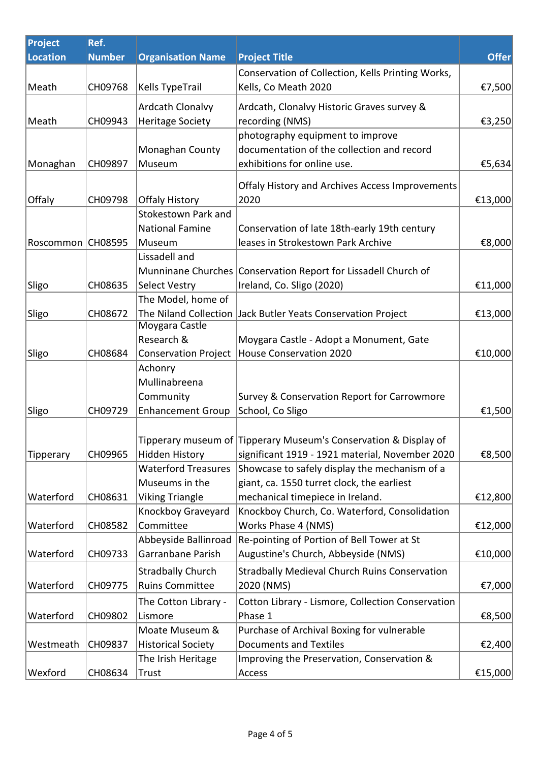| Project          | Ref.          |                             |                                                                  |              |
|------------------|---------------|-----------------------------|------------------------------------------------------------------|--------------|
| Location         | <b>Number</b> | <b>Organisation Name</b>    | <b>Project Title</b>                                             | <b>Offer</b> |
|                  |               |                             | Conservation of Collection, Kells Printing Works,                |              |
| Meath            | CH09768       | <b>Kells TypeTrail</b>      | Kells, Co Meath 2020                                             | €7,500       |
|                  |               | Ardcath Clonalvy            | Ardcath, Clonalvy Historic Graves survey &                       |              |
| Meath            | CH09943       | <b>Heritage Society</b>     | recording (NMS)                                                  | €3,250       |
|                  |               |                             | photography equipment to improve                                 |              |
|                  |               | Monaghan County             | documentation of the collection and record                       |              |
| Monaghan         | CH09897       | Museum                      | exhibitions for online use.                                      | €5,634       |
|                  |               |                             |                                                                  |              |
|                  |               |                             | Offaly History and Archives Access Improvements                  |              |
| Offaly           | CH09798       | <b>Offaly History</b>       | 2020                                                             | €13,000      |
|                  |               | Stokestown Park and         |                                                                  |              |
|                  |               | <b>National Famine</b>      | Conservation of late 18th-early 19th century                     |              |
| Roscommon        | CH08595       | Museum                      | leases in Strokestown Park Archive                               | €8,000       |
|                  |               | Lissadell and               |                                                                  |              |
|                  |               |                             | Munninane Churches Conservation Report for Lissadell Church of   |              |
| Sligo            | CH08635       | <b>Select Vestry</b>        | Ireland, Co. Sligo (2020)                                        | €11,000      |
|                  |               | The Model, home of          |                                                                  |              |
| Sligo            | CH08672       | Moygara Castle              | The Niland Collection   Jack Butler Yeats Conservation Project   | €13,000      |
|                  |               | Research &                  | Moygara Castle - Adopt a Monument, Gate                          |              |
| Sligo            | CH08684       | <b>Conservation Project</b> | <b>House Conservation 2020</b>                                   | €10,000      |
|                  |               | Achonry                     |                                                                  |              |
|                  |               | Mullinabreena               |                                                                  |              |
|                  |               | Community                   | Survey & Conservation Report for Carrowmore                      |              |
| Sligo            | CH09729       | <b>Enhancement Group</b>    | School, Co Sligo                                                 | €1,500       |
|                  |               |                             |                                                                  |              |
|                  |               |                             | Tipperary museum of Tipperary Museum's Conservation & Display of |              |
| <b>Tipperary</b> | CH09965       | <b>Hidden History</b>       | significant 1919 - 1921 material, November 2020                  | €8,500       |
|                  |               | <b>Waterford Treasures</b>  | Showcase to safely display the mechanism of a                    |              |
|                  |               | Museums in the              | giant, ca. 1550 turret clock, the earliest                       |              |
| Waterford        | CH08631       | <b>Viking Triangle</b>      | mechanical timepiece in Ireland.                                 | €12,800      |
|                  |               | Knockboy Graveyard          | Knockboy Church, Co. Waterford, Consolidation                    |              |
| Waterford        | CH08582       | Committee                   | Works Phase 4 (NMS)                                              | €12,000      |
|                  |               | Abbeyside Ballinroad        | Re-pointing of Portion of Bell Tower at St                       |              |
| Waterford        | CH09733       | Garranbane Parish           | Augustine's Church, Abbeyside (NMS)                              | €10,000      |
|                  |               | <b>Stradbally Church</b>    | <b>Stradbally Medieval Church Ruins Conservation</b>             |              |
| Waterford        | CH09775       | <b>Ruins Committee</b>      | 2020 (NMS)                                                       | €7,000       |
|                  |               | The Cotton Library -        | Cotton Library - Lismore, Collection Conservation                |              |
| Waterford        | CH09802       | Lismore                     | Phase 1                                                          | €8,500       |
|                  |               | Moate Museum &              | Purchase of Archival Boxing for vulnerable                       |              |
| Westmeath        | CH09837       | <b>Historical Society</b>   | <b>Documents and Textiles</b>                                    | €2,400       |
|                  |               | The Irish Heritage          | Improving the Preservation, Conservation &                       |              |
| Wexford          | CH08634       | Trust                       | Access                                                           | €15,000      |
|                  |               |                             |                                                                  |              |